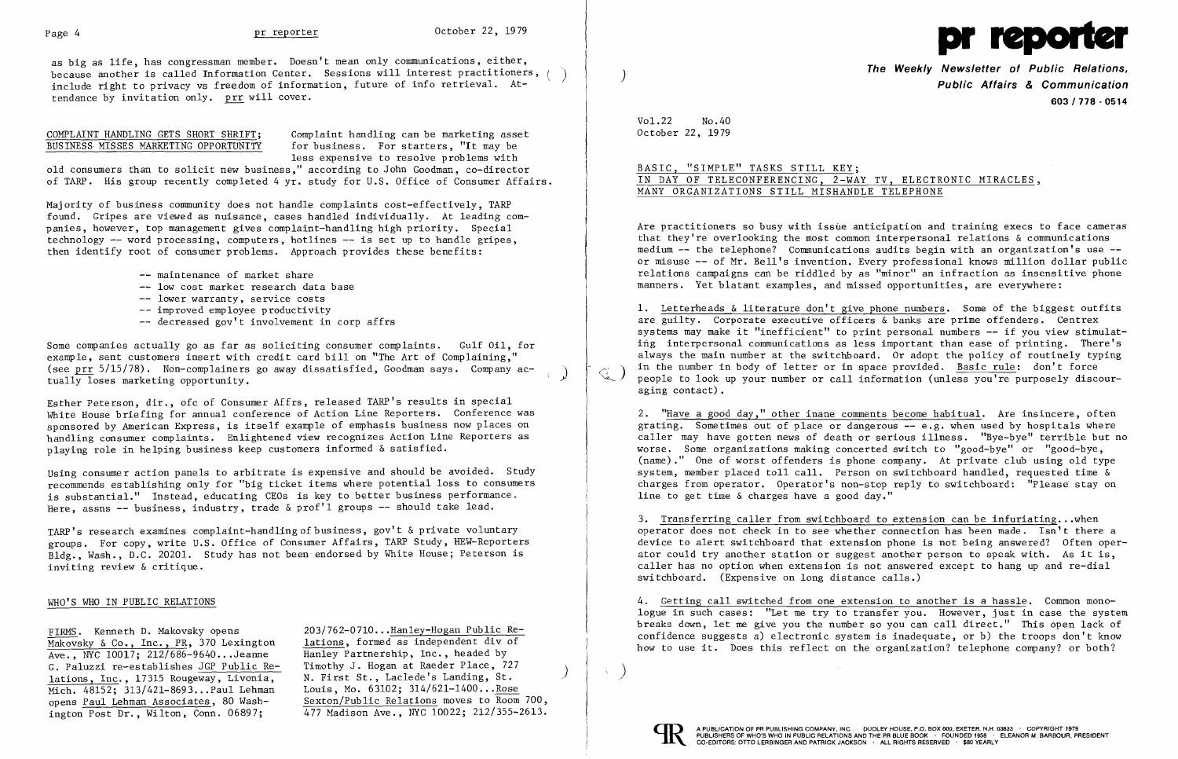

as big as life, has congressman member. Doesn't mean only communications, either,<br>because another is called Information Center. Sessions will interest practitioners, ( ) include right to privacy vs freedom of information, future of info retrieval. Attendance by invitation only. prr will cover.

COMPLAINT HANDLING GETS SHORT SHRIFT; Complaint handling can be marketing asset<br>BUSINESS MISSES MARKETING OPPORTUNITY for business. For starters, "It may be for business. For starters, "It may be less expensive to resolve problems with

old consumers than to solicit new business," according to John Goodman, co-director of TARP. His group recently completed 4 yr. study for U.S. Office of Consumer Affairs.

- -- maintenance of market share
- $-$  low cost market research data base
- -- lower warranty, service costs
- -- improved employee productivity
- decreased gov't involvement in corp affrs

Some companies actually go as far as soliciting consumer complaints. Gulf Oil, for example, sent customers insert with credit card bill on "The Art of Complaining," (see  $\frac{\text{pr}}{\text{sqrt}}$  5/15/78). Non-complainers go away dissatisfied, Goodman says. Company ac-<br>tually loses marketing opportunity.

Majority of business community does not handle complaints cost-effectively, TARP found. Gripes are viewed as nuisance, cases handled individually. At leading companies, however, top management gives complaint-handling high priority. Special technology -- word processing, computers, hotlines -- is set up to handle gripes, then identify root of consumer problems. Approach provides these benefits:

Using consumer action panels to arbitrate is expensive and should be avoided. Study recommends es tablishing only for "big ticket items where potential loss to consumers is substantial." Instead, educating CEOs is key to better business performance. Here, assns -- business, industry, trade & prof'l groups -- should take lead.

TARP's research examines complaint-handling of business, gov't & private voluntary groups. For copy, write U.S. Office of Consumer Affairs, TARP Study, HEW-Reporters Bldg., Wash., D.C. 20201. Study has not been endorsed by White House; Peterson is inviting review & critique.

The Weekly Newsletter of Public Relations,<br>Public Affairs & Communication 603/778 - 0514

# BASIC, "SIMPLE" TASKS STILL KEY; IN DAY OF TELECONFERENCING, 2-WAY TV, ELECTRONIC MIRACLES, MANY ORGANIZATIONS STILL MISHANDLE TELEPHONE

Esther Peterson, dir., ofc of Consumer Affrs, released TARP's results in special White House briefing for annual conference of Action Line Reporters. Conference was sponsored by American Express, is itself example of emphasis business now places on handling consumer complaints. Enlightened view recognizes Action Line Reporters as playing role in helping business keep customers informed & satisfied.

Are practitioners so busy with issue anticipation and training execs to face cameras that they're overlooking the most common interpersonal relations & communications medium -- the telephone? Communications audits begin with an organization's use -or misuse -- of Mr. Bell's invention. Every professional knows million dollar public relations campaigns can be riddled by as "minor" an infraction as insensitive phone manners. Yet blatant examples, and missed opportunities, are everywhere:

2. "Have a good day," other inane comments become habitual. Are insincere, often grating. Sometimes out of place or dangerous -- e.g. when used by hospitals where caller may have gotten news of death or serious illness. "Bye-bye" terrible but no worse. Some organizations making concerted switch to "good-bye" or "good-bye,  $(name)$ ." One of worst offenders is phone company. At private club using old type system, member placed toll call. Person on switchboard handled, requested time & charges from operator. Operator's non-stop reply to switchboard: "Please stay on line to get time  $\&$  charges have a good day."

## WHO'S WHO IN PUBLIC RELATIONS

FIRMS. Kenneth D. Makovsky opens Makovsky & Co., Inc., PR, 370 Lexington Ave., NYC 10017; 212/686-9640...Jeanne G. Paluzzi re-establishes JGP Public Relations, Inc., 17315 Rougeway, Livonia, Mich. 48152; 313/421-8693...Paul Lehman opens Paul Lehman Associates, 80 Washington Post Dr., Wilton, Conn. 06897;

3. Transferring caller from switchboard to extension can be infuriating...when operator does not check in to see whether connection has been made. Isn't there a device to alert switchboard that extension phone is not being answered? Often operator could try another station or suggest another person to speak with. As it is, caller has no option when extension is not answered except to hang up and re-dial switchboard. (Expensive on long distance calls.)

203/762-0710 ...Hanley-Hogan Public Relations, formed as independent div of Hanley Partnership, Inc., headed by Timothy J. Hogan at Raeder Place, 727<br>N. First St., Laclede's Landing, St. Louis, Mo. 63102; 314/621-1400...Rose Sexton/Public Relations moves to Room 700, 477 Madison Ave., NYC 10022; 212/355-2613.

 $\leq$  )

Vo1.22 No.40 October 22, 1979

1. Letterheads & literature don't give phone numbers. Some of the biggest outfits are guilty. Corporate executive officers & banks are prime offenders. Centrex systems may make it "inefficient" to print personal numbers -- if you view stimulating interpersonal communications as less important than ease of printing. There's always the main number at the switchboard. Or adopt the policy of routinely typing in the number in body of letter or in space provided. Basic rule: don't force people to look up your number or call information (unless you're purposely discouraging contact) .

4. Getting call switched from one extension to another is a hassle. Common monologue in such cases: "Let me try to transfer you. However, just in case the system breaks down, let me give you the number so you can call direct." This open lack of confidence suggests a) electronic system is inadequate, or b) the troops don't know how to use it. Does this reflect on the organization? telephone company? or both?

 $\left( \right)$ 

 $\alpha$